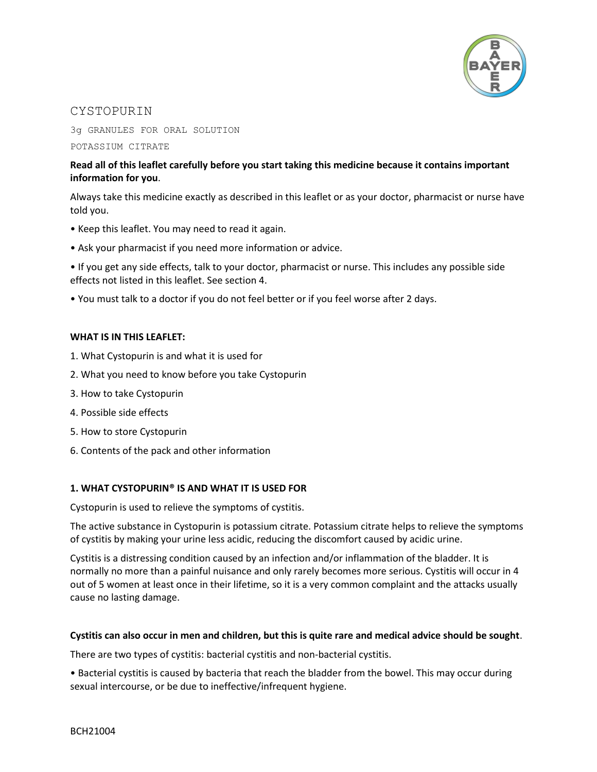

## **CYSTOPURIN**

3g GRANULES FOR ORAL SOLUTION

POTASSIUM CITRATE

### **Read all of this leaflet carefully before you start taking this medicine because it contains important information for you**.

Always take this medicine exactly as described in this leaflet or as your doctor, pharmacist or nurse have told you.

- Keep this leaflet. You may need to read it again.
- Ask your pharmacist if you need more information or advice.

• If you get any side effects, talk to your doctor, pharmacist or nurse. This includes any possible side effects not listed in this leaflet. See section 4.

• You must talk to a doctor if you do not feel better or if you feel worse after 2 days.

### **WHAT IS IN THIS LEAFLET:**

- 1. What Cystopurin is and what it is used for
- 2. What you need to know before you take Cystopurin
- 3. How to take Cystopurin
- 4. Possible side effects
- 5. How to store Cystopurin
- 6. Contents of the pack and other information

### **1. WHAT CYSTOPURIN® IS AND WHAT IT IS USED FOR**

Cystopurin is used to relieve the symptoms of cystitis.

The active substance in Cystopurin is potassium citrate. Potassium citrate helps to relieve the symptoms of cystitis by making your urine less acidic, reducing the discomfort caused by acidic urine.

Cystitis is a distressing condition caused by an infection and/or inflammation of the bladder. It is normally no more than a painful nuisance and only rarely becomes more serious. Cystitis will occur in 4 out of 5 women at least once in their lifetime, so it is a very common complaint and the attacks usually cause no lasting damage.

### **Cystitis can also occur in men and children, but this is quite rare and medical advice should be sought**.

There are two types of cystitis: bacterial cystitis and non-bacterial cystitis.

• Bacterial cystitis is caused by bacteria that reach the bladder from the bowel. This may occur during sexual intercourse, or be due to ineffective/infrequent hygiene.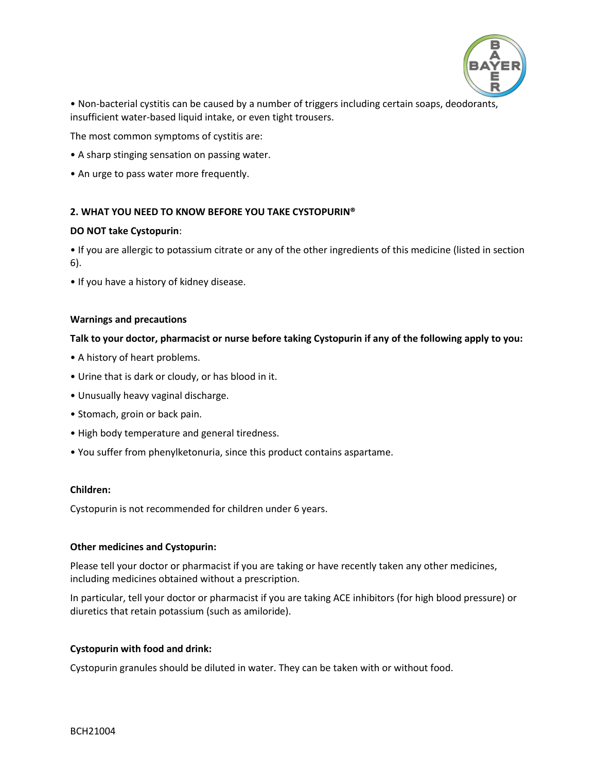

• Non-bacterial cystitis can be caused by a number of triggers including certain soaps, deodorants, insufficient water-based liquid intake, or even tight trousers.

The most common symptoms of cystitis are:

- A sharp stinging sensation on passing water.
- An urge to pass water more frequently.

#### **2. WHAT YOU NEED TO KNOW BEFORE YOU TAKE CYSTOPURIN®**

#### **DO NOT take Cystopurin**:

• If you are allergic to potassium citrate or any of the other ingredients of this medicine (listed in section 6).

• If you have a history of kidney disease.

#### **Warnings and precautions**

#### **Talk to your doctor, pharmacist or nurse before taking Cystopurin if any of the following apply to you:**

- A history of heart problems.
- Urine that is dark or cloudy, or has blood in it.
- Unusually heavy vaginal discharge.
- Stomach, groin or back pain.
- High body temperature and general tiredness.
- You suffer from phenylketonuria, since this product contains aspartame.

#### **Children:**

Cystopurin is not recommended for children under 6 years.

#### **Other medicines and Cystopurin:**

Please tell your doctor or pharmacist if you are taking or have recently taken any other medicines, including medicines obtained without a prescription.

In particular, tell your doctor or pharmacist if you are taking ACE inhibitors (for high blood pressure) or diuretics that retain potassium (such as amiloride).

### **Cystopurin with food and drink:**

Cystopurin granules should be diluted in water. They can be taken with or without food.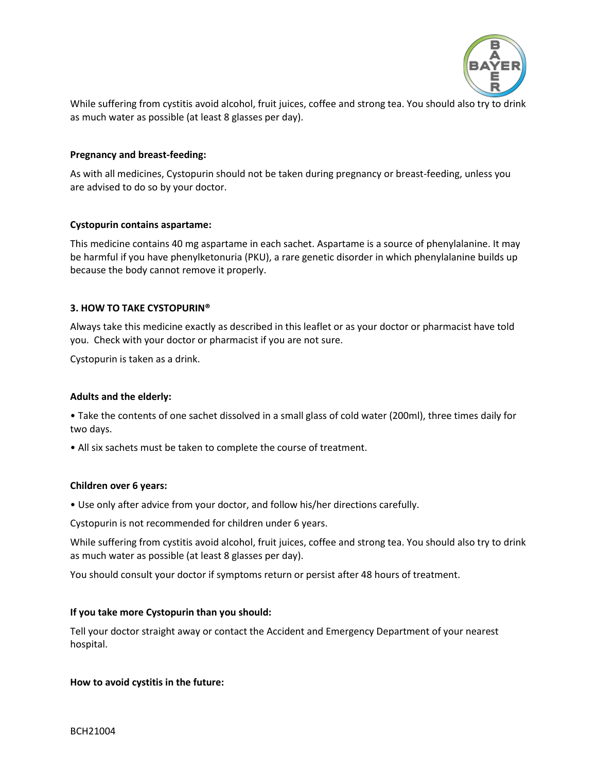

While suffering from cystitis avoid alcohol, fruit juices, coffee and strong tea. You should also try to drink as much water as possible (at least 8 glasses per day).

#### **Pregnancy and breast-feeding:**

As with all medicines, Cystopurin should not be taken during pregnancy or breast-feeding, unless you are advised to do so by your doctor.

#### **Cystopurin contains aspartame:**

This medicine contains 40 mg aspartame in each sachet. Aspartame is a source of phenylalanine. It may be harmful if you have phenylketonuria (PKU), a rare genetic disorder in which phenylalanine builds up because the body cannot remove it properly.

#### **3. HOW TO TAKE CYSTOPURIN®**

Always take this medicine exactly as described in this leaflet or as your doctor or pharmacist have told you. Check with your doctor or pharmacist if you are not sure.

Cystopurin is taken as a drink.

### **Adults and the elderly:**

• Take the contents of one sachet dissolved in a small glass of cold water (200ml), three times daily for two days.

• All six sachets must be taken to complete the course of treatment.

#### **Children over 6 years:**

• Use only after advice from your doctor, and follow his/her directions carefully.

Cystopurin is not recommended for children under 6 years.

While suffering from cystitis avoid alcohol, fruit juices, coffee and strong tea. You should also try to drink as much water as possible (at least 8 glasses per day).

You should consult your doctor if symptoms return or persist after 48 hours of treatment.

#### **If you take more Cystopurin than you should:**

Tell your doctor straight away or contact the Accident and Emergency Department of your nearest hospital.

#### **How to avoid cystitis in the future:**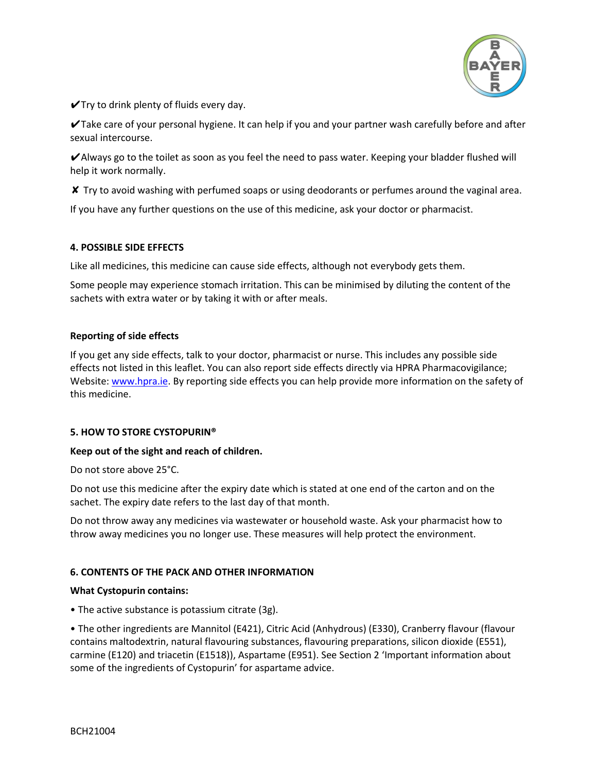

 $\checkmark$ Try to drink plenty of fluids every day.

✔Take care of your personal hygiene. It can help if you and your partner wash carefully before and after sexual intercourse.

✔Always go to the toilet as soon as you feel the need to pass water. Keeping your bladder flushed will help it work normally.

✘ Try to avoid washing with perfumed soaps or using deodorants or perfumes around the vaginal area.

If you have any further questions on the use of this medicine, ask your doctor or pharmacist.

### **4. POSSIBLE SIDE EFFECTS**

Like all medicines, this medicine can cause side effects, although not everybody gets them.

Some people may experience stomach irritation. This can be minimised by diluting the content of the sachets with extra water or by taking it with or after meals.

### **Reporting of side effects**

If you get any side effects, talk to your doctor, pharmacist or nurse. This includes any possible side effects not listed in this leaflet. You can also report side effects directly via HPRA Pharmacovigilance; Website: [www.hpra.ie.](http://www.hpra.ie/) By reporting side effects you can help provide more information on the safety of this medicine.

## **5. HOW TO STORE CYSTOPURIN®**

### **Keep out of the sight and reach of children.**

Do not store above 25°C.

Do not use this medicine after the expiry date which is stated at one end of the carton and on the sachet. The expiry date refers to the last day of that month.

Do not throw away any medicines via wastewater or household waste. Ask your pharmacist how to throw away medicines you no longer use. These measures will help protect the environment.

## **6. CONTENTS OF THE PACK AND OTHER INFORMATION**

### **What Cystopurin contains:**

• The active substance is potassium citrate (3g).

• The other ingredients are Mannitol (E421), Citric Acid (Anhydrous) (E330), Cranberry flavour (flavour contains maltodextrin, natural flavouring substances, flavouring preparations, silicon dioxide (E551), carmine (E120) and triacetin (E1518)), Aspartame (E951). See Section 2 'Important information about some of the ingredients of Cystopurin' for aspartame advice.